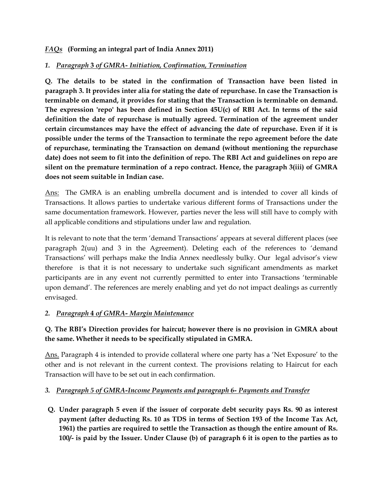### *FAQs* **(Forming an integral part of India Annex 2011)**

### *1. Paragraph* **3** *of GMRA- Initiation, Confirmation, Termination*

**Q. The details to be stated in the confirmation of Transaction have been listed in paragraph 3. It provides inter alia for stating the date of repurchase. In case the Transaction is terminable on demand, it provides for stating that the Transaction is terminable on demand. The expression 'repo' has been defined in Section 45U(c) of RBI Act. In terms of the said definition the date of repurchase is mutually agreed. Termination of the agreement under certain circumstances may have the effect of advancing the date of repurchase. Even if it is possible under the terms of the Transaction to terminate the repo agreement before the date of repurchase, terminating the Transaction on demand (without mentioning the repurchase date) does not seem to fit into the definition of repo. The RBI Act and guidelines on repo are silent on the premature termination of a repo contract. Hence, the paragraph 3(iii) of GMRA does not seem suitable in Indian case.** 

Ans: The GMRA is an enabling umbrella document and is intended to cover all kinds of Transactions. It allows parties to undertake various different forms of Transactions under the same documentation framework. However, parties never the less will still have to comply with all applicable conditions and stipulations under law and regulation.

It is relevant to note that the term 'demand Transactions' appears at several different places (see paragraph 2(uu) and 3 in the Agreement). Deleting each of the references to 'demand Transactions' will perhaps make the India Annex needlessly bulky. Our legal advisor's view therefore is that it is not necessary to undertake such significant amendments as market participants are in any event not currently permitted to enter into Transactions 'terminable upon demand'. The references are merely enabling and yet do not impact dealings as currently envisaged.

### *2. Paragraph* **4** *of GMRA- Margin Maintenance*

# **Q. The RBI's Direction provides for haircut; however there is no provision in GMRA about the same. Whether it needs to be specifically stipulated in GMRA.**

Ans. Paragraph 4 is intended to provide collateral where one party has a 'Net Exposure' to the other and is not relevant in the current context. The provisions relating to Haircut for each Transaction will have to be set out in each confirmation.

### *3. Paragraph 5 of GMRA-Income Payments and paragraph 6- Payments and Transfer*

**Q. Under paragraph 5 even if the issuer of corporate debt security pays Rs. 90 as interest payment (after deducting Rs. 10 as TDS in terms of Section 193 of the Income Tax Act, 1961) the parties are required to settle the Transaction as though the entire amount of Rs. 100/- is paid by the Issuer. Under Clause (b) of paragraph 6 it is open to the parties as to**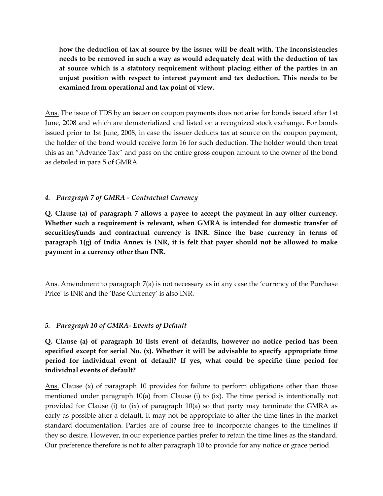**how the deduction of tax at source by the issuer will be dealt with. The inconsistencies needs to be removed in such a way as would adequately deal with the deduction of tax at source which is a statutory requirement without placing either of the parties in an unjust position with respect to interest payment and tax deduction. This needs to be examined from operational and tax point of view.** 

Ans. The issue of TDS by an issuer on coupon payments does not arise for bonds issued after 1st June, 2008 and which are dematerialized and listed on a recognized stock exchange. For bonds issued prior to 1st June, 2008, in case the issuer deducts tax at source on the coupon payment, the holder of the bond would receive form 16 for such deduction. The holder would then treat this as an "Advance Tax" and pass on the entire gross coupon amount to the owner of the bond as detailed in para 5 of GMRA.

# *4. Paragraph 7 of GMRA - Contractual Currency*

**Q. Clause (a) of paragraph 7 allows a payee to accept the payment in any other currency. Whether such a requirement is relevant, when GMRA is intended for domestic transfer of securities/funds and contractual currency is INR. Since the base currency in terms of paragraph 1(g) of India Annex is INR, it is felt that payer should not be allowed to make payment in a currency other than INR.** 

Ans. Amendment to paragraph 7(a) is not necessary as in any case the 'currency of the Purchase Price' is INR and the 'Base Currency' is also INR.

### *5. Paragraph 10 of GMRA- Events of Default*

**Q. Clause (a) of paragraph 10 lists event of defaults, however no notice period has been specified except for serial No. (x). Whether it will be advisable to specify appropriate time period for individual event of default? If yes, what could be specific time period for individual events of default?** 

Ans. Clause (x) of paragraph 10 provides for failure to perform obligations other than those mentioned under paragraph 10(a) from Clause (i) to (ix). The time period is intentionally not provided for Clause (i) to (ix) of paragraph 10(a) so that party may terminate the GMRA as early as possible after a default. It may not be appropriate to alter the time lines in the market standard documentation. Parties are of course free to incorporate changes to the timelines if they so desire. However, in our experience parties prefer to retain the time lines as the standard. Our preference therefore is not to alter paragraph 10 to provide for any notice or grace period.